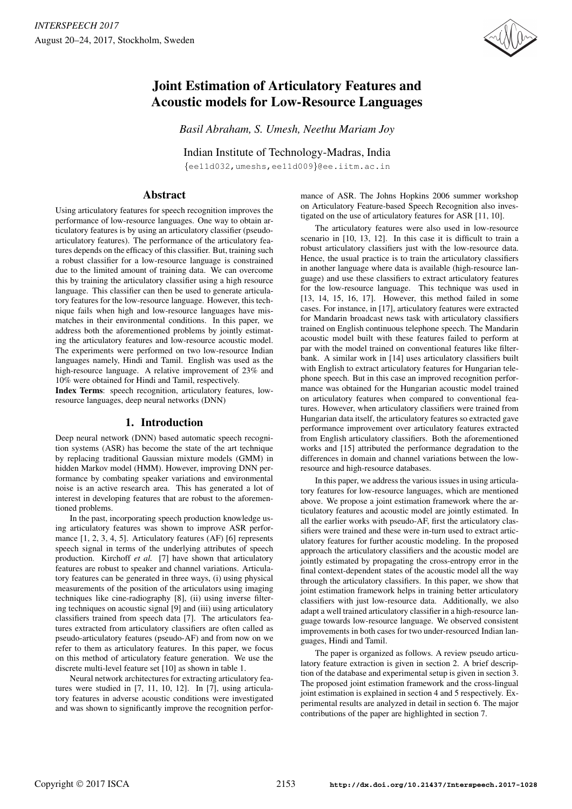

# Joint Estimation of Articulatory Features and Acoustic models for Low-Resource Languages

*Basil Abraham, S. Umesh, Neethu Mariam Joy*

Indian Institute of Technology-Madras, India {ee11d032,umeshs,ee11d009}@ee.iitm.ac.in

# Abstract

Using articulatory features for speech recognition improves the performance of low-resource languages. One way to obtain articulatory features is by using an articulatory classifier (pseudoarticulatory features). The performance of the articulatory features depends on the efficacy of this classifier. But, training such a robust classifier for a low-resource language is constrained due to the limited amount of training data. We can overcome this by training the articulatory classifier using a high resource language. This classifier can then be used to generate articulatory features for the low-resource language. However, this technique fails when high and low-resource languages have mismatches in their environmental conditions. In this paper, we address both the aforementioned problems by jointly estimating the articulatory features and low-resource acoustic model. The experiments were performed on two low-resource Indian languages namely, Hindi and Tamil. English was used as the high-resource language. A relative improvement of 23% and 10% were obtained for Hindi and Tamil, respectively.

Index Terms: speech recognition, articulatory features, lowresource languages, deep neural networks (DNN)

# 1. Introduction

Deep neural network (DNN) based automatic speech recognition systems (ASR) has become the state of the art technique by replacing traditional Gaussian mixture models (GMM) in hidden Markov model (HMM). However, improving DNN performance by combating speaker variations and environmental noise is an active research area. This has generated a lot of interest in developing features that are robust to the aforementioned problems.

In the past, incorporating speech production knowledge using articulatory features was shown to improve ASR performance [1, 2, 3, 4, 5]. Articulatory features (AF) [6] represents speech signal in terms of the underlying attributes of speech production. Kirchoff *et al.* [7] have shown that articulatory features are robust to speaker and channel variations. Articulatory features can be generated in three ways, (i) using physical measurements of the position of the articulators using imaging techniques like cine-radiography [8], (ii) using inverse filtering techniques on acoustic signal [9] and (iii) using articulatory classifiers trained from speech data [7]. The articulators features extracted from articulatory classifiers are often called as pseudo-articulatory features (pseudo-AF) and from now on we refer to them as articulatory features. In this paper, we focus on this method of articulatory feature generation. We use the discrete multi-level feature set [10] as shown in table 1.

Neural network architectures for extracting articulatory features were studied in [7, 11, 10, 12]. In [7], using articulatory features in adverse acoustic conditions were investigated and was shown to significantly improve the recognition performance of ASR. The Johns Hopkins 2006 summer workshop on Articulatory Feature-based Speech Recognition also investigated on the use of articulatory features for ASR [11, 10].

The articulatory features were also used in low-resource scenario in [10, 13, 12]. In this case it is difficult to train a robust articulatory classifiers just with the low-resource data. Hence, the usual practice is to train the articulatory classifiers in another language where data is available (high-resource language) and use these classifiers to extract articulatory features for the low-resource language. This technique was used in [13, 14, 15, 16, 17]. However, this method failed in some cases. For instance, in [17], articulatory features were extracted for Mandarin broadcast news task with articulatory classifiers trained on English continuous telephone speech. The Mandarin acoustic model built with these features failed to perform at par with the model trained on conventional features like filterbank. A similar work in [14] uses articulatory classifiers built with English to extract articulatory features for Hungarian telephone speech. But in this case an improved recognition performance was obtained for the Hungarian acoustic model trained on articulatory features when compared to conventional features. However, when articulatory classifiers were trained from Hungarian data itself, the articulatory features so extracted gave performance improvement over articulatory features extracted from English articulatory classifiers. Both the aforementioned works and [15] attributed the performance degradation to the differences in domain and channel variations between the lowresource and high-resource databases.

In this paper, we address the various issues in using articulatory features for low-resource languages, which are mentioned above. We propose a joint estimation framework where the articulatory features and acoustic model are jointly estimated. In all the earlier works with pseudo-AF, first the articulatory classifiers were trained and these were in-turn used to extract articulatory features for further acoustic modeling. In the proposed approach the articulatory classifiers and the acoustic model are jointly estimated by propagating the cross-entropy error in the final context-dependent states of the acoustic model all the way through the articulatory classifiers. In this paper, we show that joint estimation framework helps in training better articulatory classifiers with just low-resource data. Additionally, we also adapt a well trained articulatory classifier in a high-resource language towards low-resource language. We observed consistent improvements in both cases for two under-resourced Indian languages, Hindi and Tamil.

The paper is organized as follows. A review pseudo articulatory feature extraction is given in section 2. A brief description of the database and experimental setup is given in section 3. The proposed joint estimation framework and the cross-lingual joint estimation is explained in section 4 and 5 respectively. Experimental results are analyzed in detail in section 6. The major contributions of the paper are highlighted in section 7.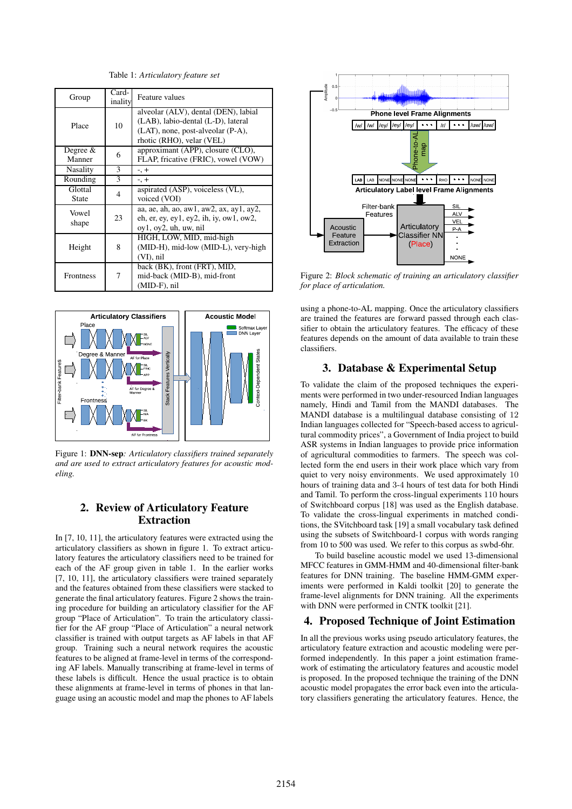Table 1: *Articulatory feature set*

| Group                | Card-<br>inality | Feature values                                                                                                                               |  |
|----------------------|------------------|----------------------------------------------------------------------------------------------------------------------------------------------|--|
| Place                | 10               | alveolar (ALV), dental (DEN), labial<br>(LAB), labio-dental (L-D), lateral<br>(LAT), none, post-alveolar (P-A),<br>rhotic (RHO), velar (VEL) |  |
| Degree $&$<br>Manner | 6                | approximant (APP), closure (CLO),<br>FLAP, fricative (FRIC), vowel (VOW)                                                                     |  |
| Nasality             | 3                | $-$ , $+$                                                                                                                                    |  |
| Rounding             | 3                | $-$ , $+$                                                                                                                                    |  |
| Glottal<br>State     | 4                | aspirated (ASP), voiceless (VL),<br>voiced (VOI)                                                                                             |  |
| Vowel<br>shape       | 23               | aa, ae, ah, ao, aw l, aw $2$ , ax, ay l, ay $2$ ,<br>eh, er, ey, ey $1$ , ey $2$ , ih, iy, ow $1$ , ow $2$ ,<br>oy1, oy2, uh, uw, nil        |  |
| Height               | 8                | HIGH, LOW, MID, mid-high<br>(MID-H), mid-low (MID-L), very-high<br>(VI), nil                                                                 |  |
| <b>Frontness</b>     | 7                | back (BK), front (FRT), MID,<br>mid-back (MID-B), mid-front<br>(MID-F), nil                                                                  |  |



Figure 1: DNN-sep*: Articulatory classifiers trained separately and are used to extract articulatory features for acoustic modeling.*

# 2. Review of Articulatory Feature Extraction

In [7, 10, 11], the articulatory features were extracted using the articulatory classifiers as shown in figure 1. To extract articulatory features the articulatory classifiers need to be trained for each of the AF group given in table 1. In the earlier works [7, 10, 11], the articulatory classifiers were trained separately and the features obtained from these classifiers were stacked to generate the final articulatory features. Figure 2 shows the training procedure for building an articulatory classifier for the AF group "Place of Articulation". To train the articulatory classifier for the AF group "Place of Articulation" a neural network classifier is trained with output targets as AF labels in that AF group. Training such a neural network requires the acoustic features to be aligned at frame-level in terms of the corresponding AF labels. Manually transcribing at frame-level in terms of these labels is difficult. Hence the usual practice is to obtain these alignments at frame-level in terms of phones in that language using an acoustic model and map the phones to AF labels



Figure 2: *Block schematic of training an articulatory classifier for place of articulation.*

using a phone-to-AL mapping. Once the articulatory classifiers are trained the features are forward passed through each classifier to obtain the articulatory features. The efficacy of these features depends on the amount of data available to train these classifiers.

# 3. Database & Experimental Setup

To validate the claim of the proposed techniques the experiments were performed in two under-resourced Indian languages namely, Hindi and Tamil from the MANDI databases. The MANDI database is a multilingual database consisting of 12 Indian languages collected for "Speech-based access to agricultural commodity prices", a Government of India project to build ASR systems in Indian languages to provide price information of agricultural commodities to farmers. The speech was collected form the end users in their work place which vary from quiet to very noisy environments. We used approximately 10 hours of training data and 3-4 hours of test data for both Hindi and Tamil. To perform the cross-lingual experiments 110 hours of Switchboard corpus [18] was used as the English database. To validate the cross-lingual experiments in matched conditions, the SVitchboard task [19] a small vocabulary task defined using the subsets of Switchboard-1 corpus with words ranging from 10 to 500 was used. We refer to this corpus as swbd-6hr.

To build baseline acoustic model we used 13-dimensional MFCC features in GMM-HMM and 40-dimensional filter-bank features for DNN training. The baseline HMM-GMM experiments were performed in Kaldi toolkit [20] to generate the frame-level alignments for DNN training. All the experiments with DNN were performed in CNTK toolkit [21].

# 4. Proposed Technique of Joint Estimation

In all the previous works using pseudo articulatory features, the articulatory feature extraction and acoustic modeling were performed independently. In this paper a joint estimation framework of estimating the articulatory features and acoustic model is proposed. In the proposed technique the training of the DNN acoustic model propagates the error back even into the articulatory classifiers generating the articulatory features. Hence, the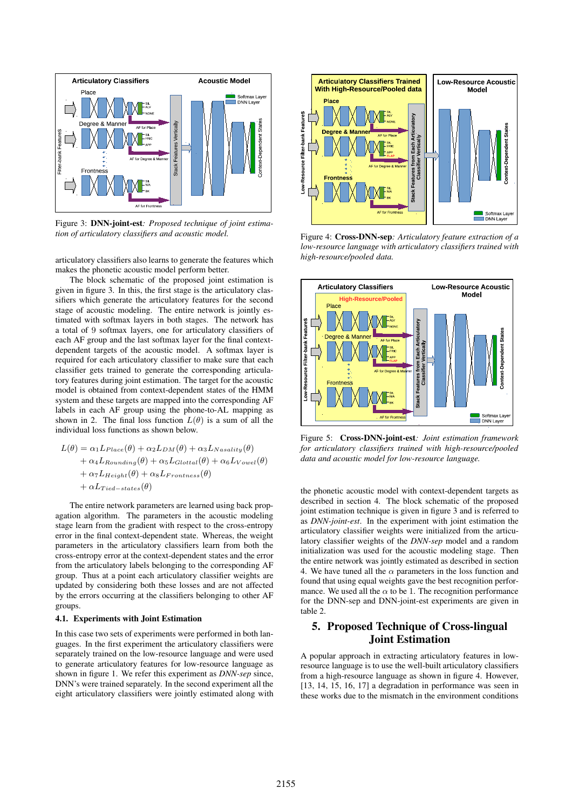

Figure 3: DNN-joint-est*: Proposed technique of joint estimation of articulatory classifiers and acoustic model.*

articulatory classifiers also learns to generate the features which makes the phonetic acoustic model perform better.

The block schematic of the proposed joint estimation is given in figure 3. In this, the first stage is the articulatory classifiers which generate the articulatory features for the second stage of acoustic modeling. The entire network is jointly estimated with softmax layers in both stages. The network has a total of 9 softmax layers, one for articulatory classifiers of each AF group and the last softmax layer for the final contextdependent targets of the acoustic model. A softmax layer is required for each articulatory classifier to make sure that each classifier gets trained to generate the corresponding articulatory features during joint estimation. The target for the acoustic model is obtained from context-dependent states of the HMM system and these targets are mapped into the corresponding AF labels in each AF group using the phone-to-AL mapping as shown in 2. The final loss function  $L(\theta)$  is a sum of all the individual loss functions as shown below.

$$
L(\theta) = \alpha_1 L_{Place}(\theta) + \alpha_2 L_{DM}(\theta) + \alpha_3 L_{Nasality}(\theta) + \alpha_4 L_{Rounding}(\theta) + \alpha_5 L_{Global}(\theta) + \alpha_6 L_{Vowel}(\theta) + \alpha_7 L_{Height}(\theta) + \alpha_8 L_{Frontness}(\theta) + \alpha L_{Tied-states}(\theta)
$$

The entire network parameters are learned using back propagation algorithm. The parameters in the acoustic modeling stage learn from the gradient with respect to the cross-entropy error in the final context-dependent state. Whereas, the weight parameters in the articulatory classifiers learn from both the cross-entropy error at the context-dependent states and the error from the articulatory labels belonging to the corresponding AF group. Thus at a point each articulatory classifier weights are updated by considering both these losses and are not affected by the errors occurring at the classifiers belonging to other AF groups.

#### 4.1. Experiments with Joint Estimation

In this case two sets of experiments were performed in both languages. In the first experiment the articulatory classifiers were separately trained on the low-resource language and were used to generate articulatory features for low-resource language as shown in figure 1. We refer this experiment as *DNN-sep* since, DNN's were trained separately. In the second experiment all the eight articulatory classifiers were jointly estimated along with



Figure 4: Cross-DNN-sep*: Articulatory feature extraction of a low-resource language with articulatory classifiers trained with high-resource/pooled data.*



Figure 5: Cross-DNN-joint-est*: Joint estimation framework for articulatory classifiers trained with high-resource/pooled data and acoustic model for low-resource language.*

the phonetic acoustic model with context-dependent targets as described in section 4. The block schematic of the proposed joint estimation technique is given in figure 3 and is referred to as *DNN-joint-est*. In the experiment with joint estimation the articulatory classifier weights were initialized from the articulatory classifier weights of the *DNN-sep* model and a random initialization was used for the acoustic modeling stage. Then the entire network was jointly estimated as described in section 4. We have tuned all the  $\alpha$  parameters in the loss function and found that using equal weights gave the best recognition performance. We used all the  $\alpha$  to be 1. The recognition performance for the DNN-sep and DNN-joint-est experiments are given in table 2.

# 5. Proposed Technique of Cross-lingual Joint Estimation

A popular approach in extracting articulatory features in lowresource language is to use the well-built articulatory classifiers from a high-resource language as shown in figure 4. However, [13, 14, 15, 16, 17] a degradation in performance was seen in these works due to the mismatch in the environment conditions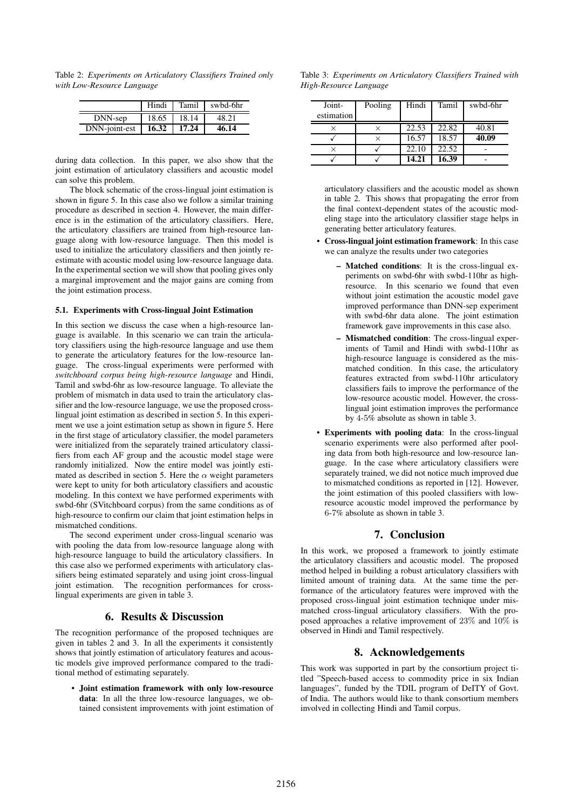Table 2: *Experiments on Articulatory Classifiers Trained only with Low-Resource Language*

|               | Hindi | Tamil | swbd-6hr |
|---------------|-------|-------|----------|
| DNN-sep       | 18.65 | 18.14 |          |
| DNN-joint-est | 16.32 | 17.24 | 46.14    |

during data collection. In this paper, we also show that the joint estimation of articulatory classifiers and acoustic model can solve this problem.

The block schematic of the cross-lingual joint estimation is shown in figure 5. In this case also we follow a similar training procedure as described in section 4. However, the main difference is in the estimation of the articulatory classifiers. Here, the articulatory classifiers are trained from high-resource language along with low-resource language. Then this model is used to initialize the articulatory classifiers and then jointly reestimate with acoustic model using low-resource language data. In the experimental section we will show that pooling gives only a marginal improvement and the major gains are coming from the joint estimation process.

#### 5.1. Experiments with Cross-lingual Joint Estimation

In this section we discuss the case when a high-resource language is available. In this scenario we can train the articulatory classifiers using the high-resource language and use them to generate the articulatory features for the low-resource language. The cross-lingual experiments were performed with *switchboard corpus being high-resource language* and Hindi, Tamil and swbd-6hr as low-resource language. To alleviate the problem of mismatch in data used to train the articulatory classifier and the low-resource language, we use the proposed crosslingual joint estimation as described in section 5. In this experiment we use a joint estimation setup as shown in figure 5. Here in the first stage of articulatory classifier, the model parameters were initialized from the separately trained articulatory classifiers from each AF group and the acoustic model stage were randomly initialized. Now the entire model was jointly estimated as described in section 5. Here the  $\alpha$  weight parameters were kept to unity for both articulatory classifiers and acoustic modeling. In this context we have performed experiments with swbd-6hr (SVitchboard corpus) from the same conditions as of high-resource to confirm our claim that joint estimation helps in mismatched conditions.

The second experiment under cross-lingual scenario was with pooling the data from low-resource language along with high-resource language to build the articulatory classifiers. In this case also we performed experiments with articulatory classifiers being estimated separately and using joint cross-lingual joint estimation. The recognition performances for crosslingual experiments are given in table 3.

### 6. Results & Discussion

The recognition performance of the proposed techniques are given in tables 2 and 3. In all the experiments it consistently shows that jointly estimation of articulatory features and acoustic models give improved performance compared to the traditional method of estimating separately.

• Joint estimation framework with only low-resource data: In all the three low-resource languages, we obtained consistent improvements with joint estimation of

Table 3: *Experiments on Articulatory Classifiers Trained with High-Resource Language*

| Joint-<br>estimation | Pooling | Hindi | Tamil | swbd-6hr |
|----------------------|---------|-------|-------|----------|
|                      |         | 22.53 | 22.82 | 40.81    |
|                      |         | 16.57 | 18.57 | 40.09    |
|                      |         | 22.10 | 22.52 |          |
|                      |         | 14.21 | 16.39 |          |

articulatory classifiers and the acoustic model as shown in table 2. This shows that propagating the error from the final context-dependent states of the acoustic modeling stage into the articulatory classifier stage helps in generating better articulatory features.

- Cross-lingual joint estimation framework: In this case we can analyze the results under two categories
	- Matched conditions: It is the cross-lingual experiments on swbd-6hr with swbd-110hr as highresource. In this scenario we found that even without joint estimation the acoustic model gave improved performance than DNN-sep experiment with swbd-6hr data alone. The joint estimation framework gave improvements in this case also.
	- Mismatched condition: The cross-lingual experiments of Tamil and Hindi with swbd-110hr as high-resource language is considered as the mismatched condition. In this case, the articulatory features extracted from swbd-110hr articulatory classifiers fails to improve the performance of the low-resource acoustic model. However, the crosslingual joint estimation improves the performance by 4-5% absolute as shown in table 3.
- Experiments with pooling data: In the cross-lingual scenario experiments were also performed after pooling data from both high-resource and low-resource language. In the case where articulatory classifiers were separately trained, we did not notice much improved due to mismatched conditions as reported in [12]. However, the joint estimation of this pooled classifiers with lowresource acoustic model improved the performance by 6-7% absolute as shown in table 3.

### 7. Conclusion

In this work, we proposed a framework to jointly estimate the articulatory classifiers and acoustic model. The proposed method helped in building a robust articulatory classifiers with limited amount of training data. At the same time the performance of the articulatory features were improved with the proposed cross-lingual joint estimation technique under mismatched cross-lingual articulatory classifiers. With the proposed approaches a relative improvement of 23% and 10% is observed in Hindi and Tamil respectively.

### 8. Acknowledgements

This work was supported in part by the consortium project titled "Speech-based access to commodity price in six Indian languages", funded by the TDIL program of DeITY of Govt. of India. The authors would like to thank consortium members involved in collecting Hindi and Tamil corpus.